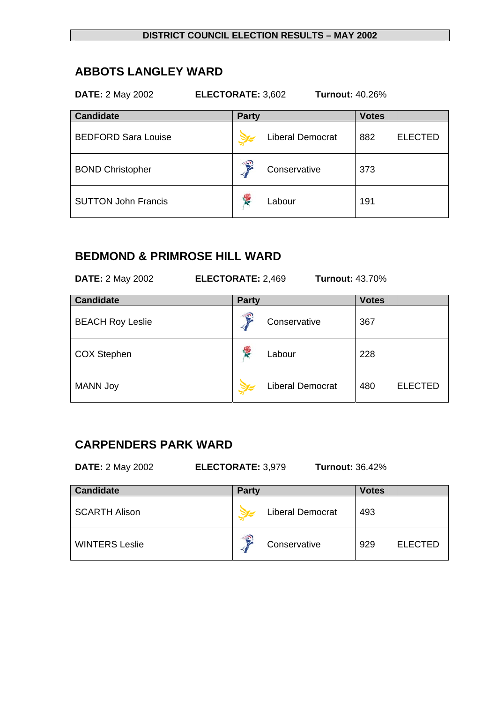# **ABBOTS LANGLEY WARD**

| <b>DATE: 2 May 2002</b><br>ELECTORATE: 3,602<br><b>Turnout: 40.26%</b> |                         |                       |  |  |  |  |
|------------------------------------------------------------------------|-------------------------|-----------------------|--|--|--|--|
| <b>Candidate</b>                                                       | <b>Party</b>            | <b>Votes</b>          |  |  |  |  |
| <b>BEDFORD Sara Louise</b>                                             | <b>Liberal Democrat</b> | <b>ELECTED</b><br>882 |  |  |  |  |
| <b>BOND Christopher</b>                                                | f,<br>Conservative      | 373                   |  |  |  |  |
| <b>SUTTON John Francis</b>                                             | 馋<br>Labour             | 191                   |  |  |  |  |

# **BEDMOND & PRIMROSE HILL WARD**

| <b>DATE: 2 May 2002</b><br><b>ELECTORATE: 2,469</b><br><b>Turnout: 43.70%</b> |                         |                       |  |  |  |
|-------------------------------------------------------------------------------|-------------------------|-----------------------|--|--|--|
| <b>Candidate</b>                                                              | <b>Party</b>            | <b>Votes</b>          |  |  |  |
| <b>BEACH Roy Leslie</b>                                                       | €<br>Conservative       | 367                   |  |  |  |
| <b>COX Stephen</b>                                                            | <b>RE</b><br>Labour     | 228                   |  |  |  |
| <b>MANN Joy</b>                                                               | <b>Liberal Democrat</b> | <b>ELECTED</b><br>480 |  |  |  |

## **CARPENDERS PARK WARD**

**DATE:** 2 May 2002 **ELECTORATE:** 3,979 **Turnout:** 36.42%

| <b>Candidate</b>      | <b>Party</b>      | <b>Votes</b>          |  |
|-----------------------|-------------------|-----------------------|--|
| <b>SCARTH Alison</b>  | Liberal Democrat  | 493                   |  |
| <b>WINTERS Leslie</b> | €<br>Conservative | <b>ELECTED</b><br>929 |  |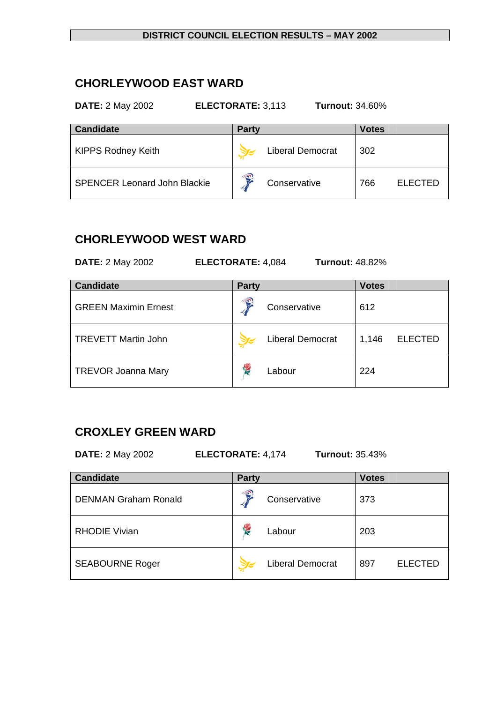# **CHORLEYWOOD EAST WARD**

#### **DATE:** 2 May 2002 **ELECTORATE:** 3,113 **Turnout:** 34.60%

| <b>Candidate</b>                    | <b>Party</b>            | Votes                 |  |
|-------------------------------------|-------------------------|-----------------------|--|
| <b>KIPPS Rodney Keith</b>           | <b>Liberal Democrat</b> | 302                   |  |
| <b>SPENCER Leonard John Blackie</b> | €<br>Conservative<br>и  | 766<br><b>ELECTED</b> |  |

# **CHORLEYWOOD WEST WARD**

**DATE:** 2 May 2002 **ELECTORATE:** 4,084 **Turnout:** 48.82%

| <b>Candidate</b>            | <b>Party</b> |                         | <b>Votes</b> |                |
|-----------------------------|--------------|-------------------------|--------------|----------------|
| <b>GREEN Maximin Ernest</b> | €            | Conservative            | 612          |                |
| <b>TREVETT Martin John</b>  |              | <b>Liberal Democrat</b> | 1,146        | <b>ELECTED</b> |
| <b>TREVOR Joanna Mary</b>   | 侵            | Labour                  | 224          |                |

# **CROXLEY GREEN WARD**

**DATE:** 2 May 2002 **ELECTORATE:** 4,174 **Turnout:** 35.43%

| <b>Candidate</b>            | <b>Party</b> |                         | <b>Votes</b> |                |
|-----------------------------|--------------|-------------------------|--------------|----------------|
| <b>DENMAN Graham Ronald</b> | €            | Conservative            | 373          |                |
| <b>RHODIE Vivian</b>        | Y.           | Labour                  | 203          |                |
| <b>SEABOURNE Roger</b>      |              | <b>Liberal Democrat</b> | 897          | <b>ELECTED</b> |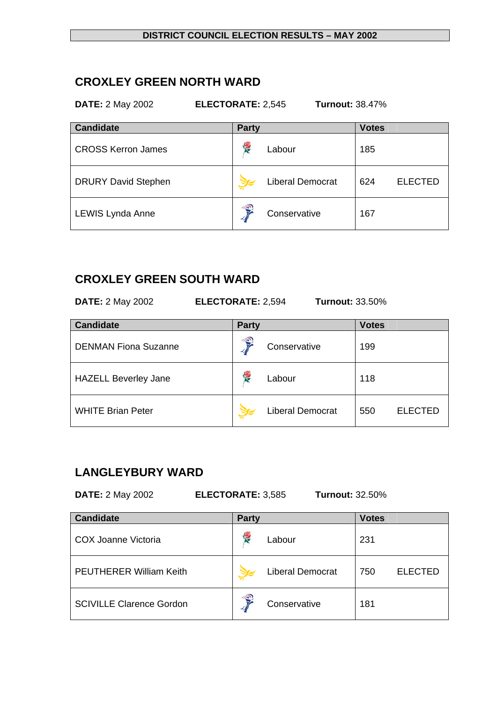## **CROXLEY GREEN NORTH WARD**

**DATE:** 2 May 2002 **ELECTORATE:** 2,545 **Turnout:** 38.47%

| <b>Candidate</b>           | <b>Party</b>      |                         | <b>Votes</b> |                |
|----------------------------|-------------------|-------------------------|--------------|----------------|
| <b>CROSS Kerron James</b>  | <b>The Street</b> | Labour                  | 185          |                |
| <b>DRURY David Stephen</b> |                   | <b>Liberal Democrat</b> | 624          | <b>ELECTED</b> |
| LEWIS Lynda Anne           | €                 | Conservative            | 167          |                |

## **CROXLEY GREEN SOUTH WARD**

**DATE:** 2 May 2002 **ELECTORATE:** 2,594 **Turnout:** 33.50%

| <b>Candidate</b>            | <b>Party</b> |                         | <b>Votes</b> |                |
|-----------------------------|--------------|-------------------------|--------------|----------------|
| <b>DENMAN Fiona Suzanne</b> | €            | Conservative            | 199          |                |
| <b>HAZELL Beverley Jane</b> | 愕            | Labour                  | 118          |                |
| <b>WHITE Brian Peter</b>    |              | <b>Liberal Democrat</b> | 550          | <b>ELECTED</b> |

# **LANGLEYBURY WARD**

| <b>DATE: 2 May 2002</b><br><b>ELECTORATE: 3,585</b><br><b>Turnout: 32.50%</b> |              |                         |              |                |  |
|-------------------------------------------------------------------------------|--------------|-------------------------|--------------|----------------|--|
| <b>Candidate</b>                                                              | <b>Party</b> |                         | <b>Votes</b> |                |  |
| COX Joanne Victoria                                                           | 侵            | Labour                  | 231          |                |  |
| <b>PEUTHERER William Keith</b>                                                |              | <b>Liberal Democrat</b> | 750          | <b>ELECTED</b> |  |
| <b>SCIVILLE Clarence Gordon</b>                                               | €            | Conservative            | 181          |                |  |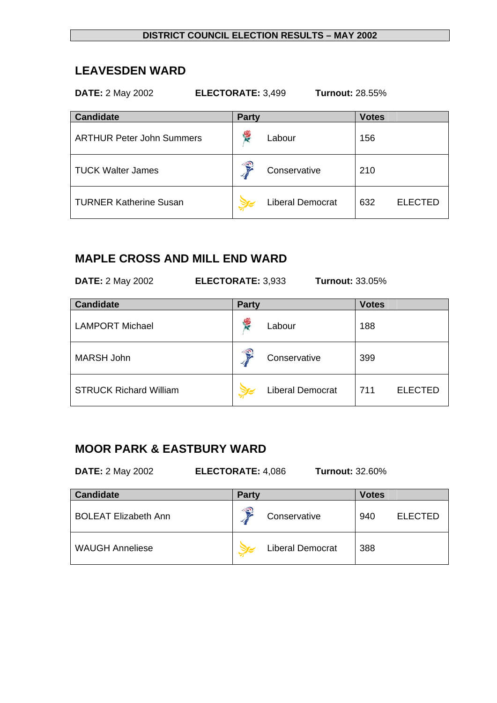## **LEAVESDEN WARD**

| <b>DATE: 2 May 2002</b><br>ELECTORATE: 3,499<br><b>Turnout: 28.55%</b> |                         |                       |  |  |  |  |
|------------------------------------------------------------------------|-------------------------|-----------------------|--|--|--|--|
| <b>Candidate</b>                                                       | <b>Party</b>            | <b>Votes</b>          |  |  |  |  |
| <b>ARTHUR Peter John Summers</b>                                       | <b>RE</b><br>Labour     | 156                   |  |  |  |  |
| <b>TUCK Walter James</b>                                               | Conservative            | 210                   |  |  |  |  |
| <b>TURNER Katherine Susan</b>                                          | <b>Liberal Democrat</b> | 632<br><b>ELECTED</b> |  |  |  |  |

# **MAPLE CROSS AND MILL END WARD**

| <b>DATE: 2 May 2002</b><br>ELECTORATE: 3,933<br><b>Turnout: 33.05%</b> |              |                         |              |                |  |  |
|------------------------------------------------------------------------|--------------|-------------------------|--------------|----------------|--|--|
| <b>Candidate</b>                                                       | <b>Party</b> |                         | <b>Votes</b> |                |  |  |
| <b>LAMPORT Michael</b>                                                 | ۴            | Labour                  | 188          |                |  |  |
| <b>MARSH John</b>                                                      |              | Conservative            | 399          |                |  |  |
| <b>STRUCK Richard William</b>                                          |              | <b>Liberal Democrat</b> | 711          | <b>ELECTED</b> |  |  |

## **MOOR PARK & EASTBURY WARD**

**DATE:** 2 May 2002 **ELECTORATE:** 4,086 **Turnout:** 32.60%

| <b>Candidate</b>            | <b>Party</b> |                         | <b>Votes</b> |                |
|-----------------------------|--------------|-------------------------|--------------|----------------|
| <b>BOLEAT Elizabeth Ann</b> | €            | Conservative            | 940          | <b>ELECTED</b> |
| <b>WAUGH Anneliese</b>      |              | <b>Liberal Democrat</b> | 388          |                |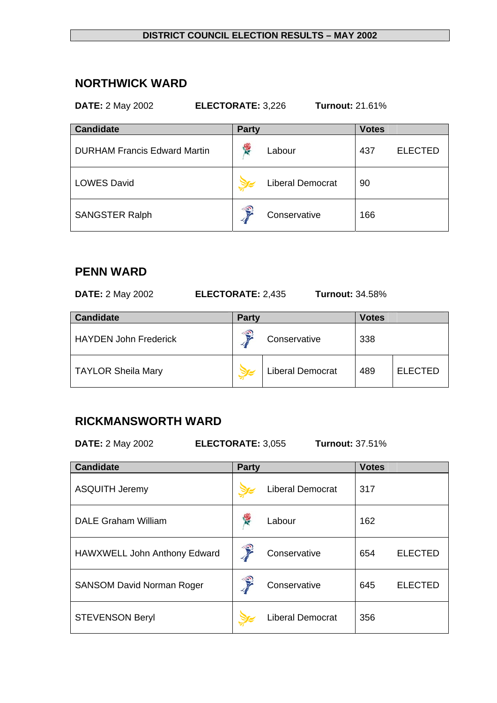## **NORTHWICK WARD**

#### **DATE:** 2 May 2002 **ELECTORATE:** 3,226 **Turnout:** 21.61%

| <b>Candidate</b>                    | <b>Party</b> |                         | <b>Votes</b> |                |
|-------------------------------------|--------------|-------------------------|--------------|----------------|
| <b>DURHAM Francis Edward Martin</b> |              | Labour                  | 437          | <b>ELECTED</b> |
| <b>LOWES David</b>                  |              | <b>Liberal Democrat</b> | 90           |                |
| <b>SANGSTER Ralph</b>               | €            | Conservative            | 166          |                |

## **PENN WARD**

**DATE:** 2 May 2002 **ELECTORATE:** 2,435 **Turnout:** 34.58%

| <b>Candidate</b>             | <b>Party</b> |                         | Votes |                |
|------------------------------|--------------|-------------------------|-------|----------------|
| <b>HAYDEN John Frederick</b> | 3            | Conservative            | 338   |                |
| <b>TAYLOR Sheila Mary</b>    |              | <b>Liberal Democrat</b> | 489   | <b>ELECTED</b> |

# **RICKMANSWORTH WARD**

**DATE:** 2 May 2002 **ELECTORATE:** 3,055 **Turnout:** 37.51%

| <b>Candidate</b>                 | <b>Party</b> |                         | <b>Votes</b> |                |
|----------------------------------|--------------|-------------------------|--------------|----------------|
| <b>ASQUITH Jeremy</b>            |              | <b>Liberal Democrat</b> | 317          |                |
| <b>DALE Graham William</b>       |              | Labour                  | 162          |                |
| HAWXWELL John Anthony Edward     | €            | Conservative            | 654          | <b>ELECTED</b> |
| <b>SANSOM David Norman Roger</b> | Ş            | Conservative            | 645          | <b>ELECTED</b> |
| <b>STEVENSON Beryl</b>           |              | <b>Liberal Democrat</b> | 356          |                |